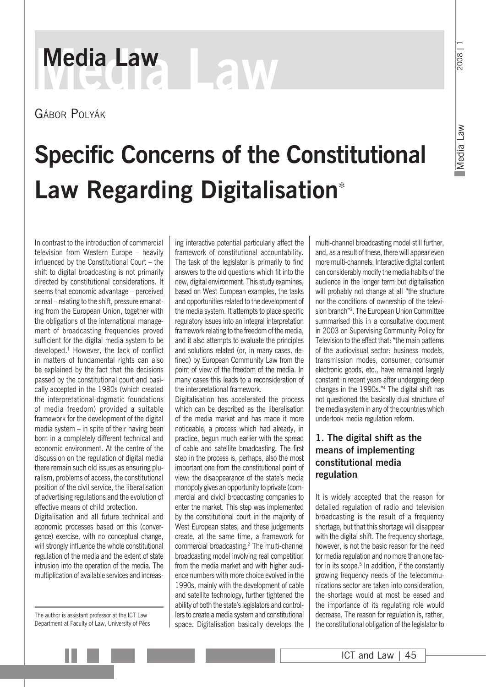### 2008

# **Media Law Media Law**

Gábor Polyák

## **Specific Concerns of the Constitutional Law Regarding Digitalisation**<sup>∗</sup>

In contrast to the introduction of commercial television from Western Europe – heavily influenced by the Constitutional Court – the shift to digital broadcasting is not primarily directed by constitutional considerations. It seems that economic advantage – perceived or real – relating to the shift, pressure emanating from the European Union, together with the obligations of the international management of broadcasting frequencies proved sufficient for the digital media system to be developed.1 However, the lack of conflict in matters of fundamental rights can also be explained by the fact that the decisions passed by the constitutional court and basically accepted in the 1980s (which created the interpretational-dogmatic foundations of media freedom) provided a suitable framework for the development of the digital media system – in spite of their having been born in a completely different technical and economic environment. At the centre of the discussion on the regulation of digital media there remain such old issues as ensuring pluralism, problems of access, the constitutional position of the civil service, the liberalisation of advertising regulations and the evolution of effective means of child protection.

Digitalisation and all future technical and economic processes based on this (convergence) exercise, with no conceptual change, will strongly influence the whole constitutional regulation of the media and the extent of state intrusion into the operation of the media. The multiplication of available services and increas-

The author is assistant professor at the ICT Law Department at Faculty of Law, University of Pécs ing interactive potential particularly affect the framework of constitutional accountability. The task of the legislator is primarily to find answers to the old questions which fit into the new, digital environment. This study examines, based on West European examples, the tasks and opportunities related to the development of the media system. It attempts to place specific regulatory issues into an integral interpretation framework relating to the freedom of the media, and it also attempts to evaluate the principles and solutions related (or, in many cases, defined) by European Community Law from the point of view of the freedom of the media. In many cases this leads to a reconsideration of the interpretational framework.

Digitalisation has accelerated the process which can be described as the liberalisation of the media market and has made it more noticeable, a process which had already, in practice, begun much earlier with the spread of cable and satellite broadcasting. The first step in the process is, perhaps, also the most important one from the constitutional point of view: the disappearance of the state's media monopoly gives an opportunity to private (commercial and civic) broadcasting companies to enter the market. This step was implemented by the constitutional court in the majority of West European states, and these judgements create, at the same time, a framework for commercial broadcasting.2 The multi-channel broadcasting model involving real competition from the media market and with higher audience numbers with more choice evolved in the 1990s, mainly with the development of cable and satellite technology, further tightened the ability of both the state's legislators and controllers to create a media system and constitutional space. Digitalisation basically develops the

multi-channel broadcasting model still further, and, as a result of these, there will appear even more multi-channels. Interactive digital content can considerably modify the media habits of the audience in the longer term but digitalisation will probably not change at all "the structure nor the conditions of ownership of the television branch"3. The European Union Committee summarised this in a consultative document in 2003 on Supervising Community Policy for Television to the effect that: "the main patterns of the audiovisual sector: business models, transmission modes, consumer, consumer electronic goods, etc., have remained largely constant in recent years after undergoing deep changes in the 1990s."4 The digital shift has not questioned the basically dual structure of the media system in any of the countries which undertook media regulation reform.

#### **1. The digital shift as the means of implementing constitutional media regulation**

It is widely accepted that the reason for detailed regulation of radio and television broadcasting is the result of a frequency shortage, but that this shortage will disappear with the digital shift. The frequency shortage, however, is not the basic reason for the need for media regulation and no more than one factor in its scope.<sup>5</sup> In addition, if the constantly growing frequency needs of the telecommunications sector are taken into consideration, the shortage would at most be eased and the importance of its regulating role would decrease. The reason for regulation is, rather, the constitutional obligation of the legislator to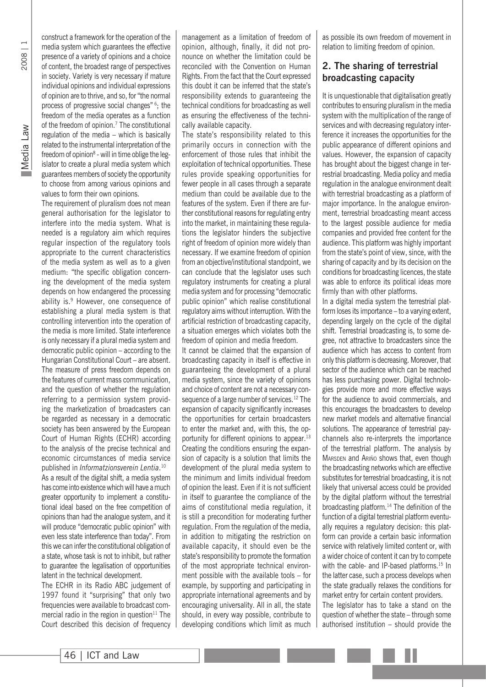construct a framework for the operation of the media system which guarantees the effective presence of a variety of opinions and a choice of content, the broadest range of perspectives in society. Variety is very necessary if mature individual opinions and individual expressions of opinion are to thrive, and so, for "the normal process of progressive social changes" 6; the freedom of the media operates as a function of the freedom of opinion.7 The constitutional regulation of the media – which is basically related to the instrumental interpretation of the freedom of opinion<sup>8</sup> - will in time oblige the legislator to create a plural media system which guarantees members of society the opportunity to choose from among various opinions and values to form their own opinions.

The requirement of pluralism does not mean general authorisation for the legislator to interfere into the media system. What is needed is a regulatory aim which requires regular inspection of the regulatory tools appropriate to the current characteristics of the media system as well as to a given medium: "the specific obligation concerning the development of the media system depends on how endangered the processing ability is.9 However, one consequence of establishing a plural media system is that controlling intervention into the operation of the media is more limited. State interference is only necessary if a plural media system and democratic public opinion – according to the Hungarian Constitutional Court – are absent. The measure of press freedom depends on the features of current mass communication, and the question of whether the regulation referring to a permission system providing the marketization of broadcasters can be regarded as necessary in a democratic society has been answered by the European Court of Human Rights (ECHR) according to the analysis of the precise technical and economic circumstances of media service published in *Informatzionsverein Lentia*. 10

As a result of the digital shift, a media system has come into existence which will have a much greater opportunity to implement a constitutional ideal based on the free competition of opinions than had the analogue system, and it will produce "democratic public opinion" with even less state interference than today". From this we can infer the constitutional obligation of a state, whose task is not to inhibit, but rather to guarantee the legalisation of opportunities latent in the technical development.

The ECHR in its Radio ABC judgement of 1997 found it "surprising" that only two frequencies were available to broadcast commercial radio in the region in question $11$  The Court described this decision of frequency management as a limitation of freedom of opinion, although, finally, it did not pronounce on whether the limitation could be reconciled with the Convention on Human Rights. From the fact that the Court expressed this doubt it can be inferred that the state's responsibility extends to guaranteeing the technical conditions for broadcasting as well as ensuring the effectiveness of the technically available capacity.

The state's responsibility related to this primarily occurs in connection with the enforcement of those rules that inhibit the exploitation of technical opportunities. These rules provide speaking opportunities for fewer people in all cases through a separate medium than could be available due to the features of the system. Even if there are further constitutional reasons for regulating entry into the market, in maintaining these regulations the legislator hinders the subjective right of freedom of opinion more widely than necessary. If we examine freedom of opinion from an objective/institutional standpoint, we can conclude that the legislator uses such regulatory instruments for creating a plural media system and for processing "democratic public opinion" which realise constitutional regulatory aims without interruption. With the artificial restriction of broadcasting capacity, a situation emerges which violates both the freedom of opinion and media freedom.

It cannot be claimed that the expansion of broadcasting capacity in itself is effective in guaranteeing the development of a plural media system, since the variety of opinions and choice of content are not a necessary consequence of a large number of services.<sup>12</sup> The expansion of capacity significantly increases the opportunities for certain broadcasters to enter the market and, with this, the opportunity for different opinions to appear.<sup>13</sup> Creating the conditions ensuring the expansion of capacity is a solution that limits the development of the plural media system to the minimum and limits individual freedom of opinion the least. Even if it is not sufficient in itself to guarantee the compliance of the aims of constitutional media regulation, it is still a precondition for moderating further regulation. From the regulation of the media, in addition to mitigating the restriction on available capacity, it should even be the state's responsibility to promote the formation of the most appropriate technical environment possible with the available tools – for example, by supporting and participating in appropriate international agreements and by encouraging universality. All in all, the state should, in every way possible, contribute to developing conditions which limit as much as possible its own freedom of movement in relation to limiting freedom of opinion.

#### **2. The sharing of terrestrial broadcasting capacity**

It is unquestionable that digitalisation greatly contributes to ensuring pluralism in the media system with the multiplication of the range of services and with decreasing regulatory interference it increases the opportunities for the public appearance of different opinions and values. However, the expansion of capacity has brought about the biggest change in terrestrial broadcasting. Media policy and media regulation in the analogue environment dealt with terrestrial broadcasting as a platform of major importance. In the analogue environment, terrestrial broadcasting meant access to the largest possible audience for media companies and provided free content for the audience. This platform was highly important from the state's point of view, since, with the sharing of capacity and by its decision on the conditions for broadcasting licences, the state was able to enforce its political ideas more firmly than with other platforms.

In a digital media system the terrestrial platform loses its importance – to a varying extent, depending largely on the cycle of the digital shift. Terrestrial broadcasting is, to some degree, not attractive to broadcasters since the audience which has access to content from only this platform is decreasing. Moreover, that sector of the audience which can be reached has less purchasing power. Digital technologies provide more and more effective ways for the audience to avoid commercials, and this encourages the broadcasters to develop new market models and alternative financial solutions. The appearance of terrestrial paychannels also re-interprets the importance of the terrestrial platform. The analysis by MARSDEN and ARIÑO shows that, even though the broadcasting networks which are effective substitutes for terrestrial broadcasting, it is not likely that universal access could be provided by the digital platform without the terrestrial broadcasting platform.14 The definition of the function of a digital terrestrial platform eventually requires a regulatory decision: this platform can provide a certain basic information service with relatively limited content or, with a wider choice of content it can try to compete with the cable- and IP-based platforms.<sup>15</sup> In the latter case, such a process develops when the state gradually relaxes the conditions for market entry for certain content providers. The legislator has to take a stand on the

question of whether the state – through some authorised institution – should provide the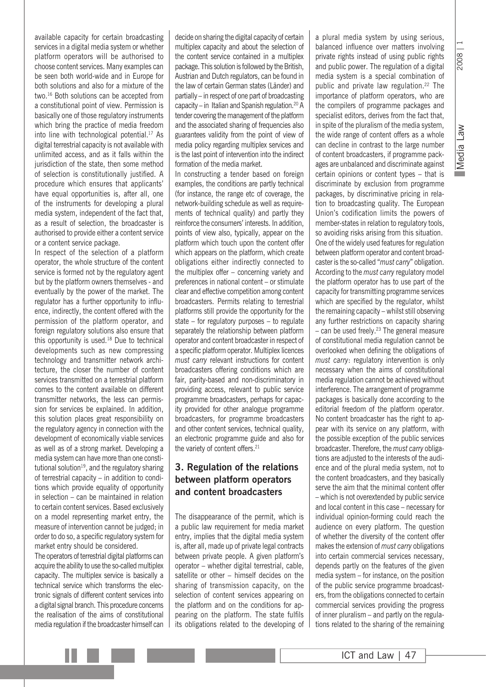2008

available capacity for certain broadcasting services in a digital media system or whether platform operators will be authorised to choose content services. Many examples can be seen both world-wide and in Europe for both solutions and also for a mixture of the two.16 Both solutions can be accepted from a constitutional point of view. Permission is basically one of those regulatory instruments which bring the practice of media freedom into line with technological potential.17 As digital terrestrial capacity is not available with unlimited access, and as it falls within the jurisdiction of the state, then some method of selection is constitutionally justified. A procedure which ensures that applicants' have equal opportunities is, after all, one of the instruments for developing a plural media system, independent of the fact that, as a result of selection, the broadcaster is authorised to provide either a content service or a content service package.

In respect of the selection of a platform operator, the whole structure of the content service is formed not by the regulatory agent but by the platform owners themselves - and eventually by the power of the market. The regulator has a further opportunity to influence, indirectly, the content offered with the permission of the platform operator, and foreign regulatory solutions also ensure that this opportunity is used.<sup>18</sup> Due to technical developments such as new compressing technology and transmitter network architecture, the closer the number of content services transmitted on a terrestrial platform comes to the content available on different transmitter networks, the less can permission for services be explained. In addition, this solution places great responsibility on the regulatory agency in connection with the development of economically viable services as well as of a strong market. Developing a media system can have more than one constitutional solution $19$ , and the regulatory sharing of terrestrial capacity – in addition to conditions which provide equality of opportunity in selection – can be maintained in relation to certain content services. Based exclusively on a model representing market entry, the measure of intervention cannot be judged; in order to do so, a specific regulatory system for market entry should be considered.

The operators of terrestrial digital platforms can acquire the ability to use the so-called multiplex capacity. The multiplex service is basically a technical service which transforms the electronic signals of different content services into a digital signal branch. This procedure concerns the realisation of the aims of constitutional media regulation if the broadcaster himself can decide on sharing the digital capacity of certain multiplex capacity and about the selection of the content service contained in a multiplex package. This solution is followed by the British, Austrian and Dutch regulators, can be found in the law of certain German states (Länder) and partially – in respect of one part of broadcasting capacity – in Italian and Spanish regulation.20 A tender covering the management of the platform and the associated sharing of frequencies also guarantees validity from the point of view of media policy regarding multiplex services and is the last point of intervention into the indirect formation of the media market.

In constructing a tender based on foreign examples, the conditions are partly technical (for instance, the range etc of coverage, the network-building schedule as well as requirements of technical quality) and partly they reinforce the consumers' interests. In addition, points of view also, typically, appear on the platform which touch upon the content offer which appears on the platform, which create obligations either indirectly connected to the multiplex offer – concerning variety and preferences in national content – or stimulate clear and effective competition among content broadcasters. Permits relating to terrestrial platforms still provide the opportunity for the state – for regulatory purposes – to regulate separately the relationship between platform operator and content broadcaster in respect of a specific platform operator. Multiplex licences *must carry* relevant instructions for content broadcasters offering conditions which are fair, parity-based and non-discriminatory in providing access, relevant to public service programme broadcasters, perhaps for capacity provided for other analogue programme broadcasters, for programme broadcasters and other content services, technical quality, an electronic programme guide and also for the variety of content offers.<sup>21</sup>

#### **3. Regulation of the relations between platform operators and content broadcasters**

The disappearance of the permit, which is a public law requirement for media market entry, implies that the digital media system is, after all, made up of private legal contracts between private people. A given platform's operator – whether digital terrestrial, cable, satellite or other – himself decides on the sharing of transmission capacity, on the selection of content services appearing on the platform and on the conditions for appearing on the platform. The state fulfils its obligations related to the developing of a plural media system by using serious, balanced influence over matters involving private rights instead of using public rights and public power. The regulation of a digital media system is a special combination of public and private law regulation.<sup>22</sup> The importance of platform operators, who are the compilers of programme packages and specialist editors, derives from the fact that, in spite of the pluralism of the media system, the wide range of content offers as a whole can decline in contrast to the large number of content broadcasters, if programme packages are unbalanced and discriminate against certain opinions or content types – that is discriminate by exclusion from programme packages, by discriminative pricing in relation to broadcasting quality. The European Union's codification limits the powers of member-states in relation to regulatory tools, so avoiding risks arising from this situation. One of the widely used features for regulation between platform operator and content broadcaster is the so-called "*must carry*" obligation. According to the *must carry* regulatory model the platform operator has to use part of the capacity for transmitting programme services which are specified by the regulator, whilst the remaining capacity – whilst still observing any further restrictions on capacity sharing  $-$  can be used freely.<sup>23</sup> The general measure of constitutional media regulation cannot be overlooked when defining the obligations of *must carry*: regulatory intervention is only necessary when the aims of constitutional media regulation cannot be achieved without interference. The arrangement of programme packages is basically done according to the editorial freedom of the platform operator. No content broadcaster has the right to appear with its service on any platform, with the possible exception of the public services broadcaster. Therefore, the *must carry* obligations are adjusted to the interests of the audience and of the plural media system, not to the content broadcasters, and they basically serve the aim that the minimal content offer – which is not overextended by public service and local content in this case – necessary for individual opinion-forming could reach the audience on every platform. The question of whether the diversity of the content offer makes the extension of *must carry* obligations into certain commercial services necessary, depends partly on the features of the given media system – for instance, on the position of the public service programme broadcasters, from the obligations connected to certain commercial services providing the progress of inner pluralism – and partly on the regulations related to the sharing of the remaining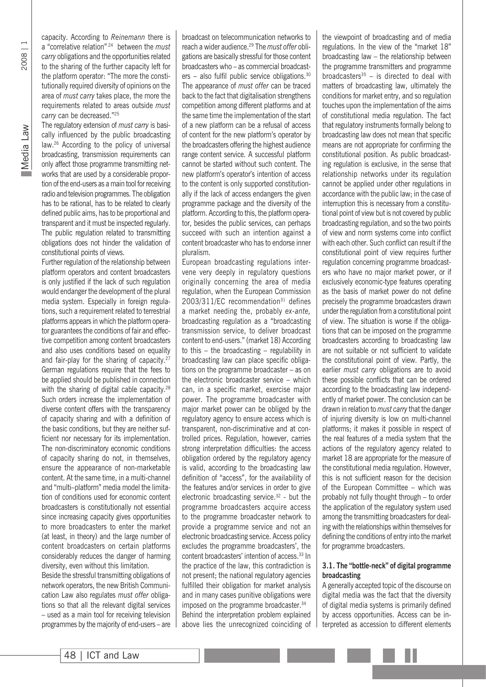capacity. According to *Reinemann* there is a "correlative relation" 24 between the *must carry* obligations and the opportunities related to the sharing of the further capacity left for the platform operator: "The more the constitutionally required diversity of opinions on the area of *must carry* takes place, the more the requirements related to areas outside *must carry* can be decreased."25

The regulatory extension of *must carry* is basically influenced by the public broadcasting law.26 According to the policy of universal broadcasting, transmission requirements can only affect those programme transmitting networks that are used by a considerable proportion of the end-users as a main tool for receiving radio and television programmes. The obligation has to be rational, has to be related to clearly defined public aims, has to be proportional and transparent and it must be inspected regularly. The public regulation related to transmitting obligations does not hinder the validation of constitutional points of views.

Further regulation of the relationship between platform operators and content broadcasters is only justified if the lack of such regulation would endanger the development of the plural media system. Especially in foreign regulations, such a requirement related to terrestrial platforms appears in which the platform operator guarantees the conditions of fair and effective competition among content broadcasters and also uses conditions based on equality and fair-play for the sharing of capacity.27 German regulations require that the fees to be applied should be published in connection with the sharing of digital cable capacity.<sup>28</sup> Such orders increase the implementation of diverse content offers with the transparency of capacity sharing and with a definition of the basic conditions, but they are neither sufficient nor necessary for its implementation. The non-discriminatory economic conditions of capacity sharing do not, in themselves, ensure the appearance of non-marketable content. At the same time, in a multi-channel and "multi–platform" media model the limitation of conditions used for economic content broadcasters is constitutionally not essential since increasing capacity gives opportunities to more broadcasters to enter the market (at least, in theory) and the large number of content broadcasters on certain platforms considerably reduces the danger of harming diversity, even without this limitation.

Beside the stressful transmitting obligations of network operators, the new British Communication Law also regulates *must offer* obligations so that all the relevant digital services – used as a main tool for receiving television programmes by the majority of end-users – are

broadcast on telecommunication networks to reach a wider audience.29 The *must offer* obligations are basically stressful for those content broadcasters who – as commercial broadcasters – also fulfil public service obligations.30 The appearance of *must offer* can be traced back to the fact that digitalisation strengthens competition among different platforms and at the same time the implementation of the start of a new platform can be a refusal of access of content for the new platform's operator by the broadcasters offering the highest audience range content service. A successful platform cannot be started without such content. The new platform's operator's intention of access to the content is only supported constitutionally if the lack of access endangers the given programme package and the diversity of the platform. According to this, the platform operator, besides the public services, can perhaps succeed with such an intention against a content broadcaster who has to endorse inner pluralism.

European broadcasting regulations intervene very deeply in regulatory questions originally concerning the area of media regulation, when the European Commission  $2003/311/EC$  recommendation<sup>31</sup> defines a market needing the, probably *ex-ante,* broadcasting regulation as a "broadcasting transmission service, to deliver broadcast content to end-users." (market 18) According to this – the broadcasting – regulability in broadcasting law can place specific obligations on the programme broadcaster – as on the electronic broadcaster service – which can, in a specific market, exercise major power. The programme broadcaster with major market power can be obliged by the regulatory agency to ensure access which is transparent, non-discriminative and at controlled prices. Regulation, however, carries strong interpretation difficulties: the access obligation ordered by the regulatory agency is valid, according to the broadcasting law definition of "access", for the availability of the features and/or services in order to give electronic broadcasting service.<sup>32</sup> - but the programme broadcasters acquire access to the programme broadcaster network to provide a programme service and not an electronic broadcasting service. Access policy excludes the programme broadcasters', the content broadcasters' intention of access.<sup>33</sup> In the practice of the law, this contradiction is not present; the national regulatory agencies fulfilled their obligation for market analysis and in many cases punitive obligations were imposed on the programme broadcaster.<sup>34</sup> Behind the interpretation problem explained above lies the unrecognized coinciding of

the viewpoint of broadcasting and of media regulations. In the view of the "market 18" broadcasting law – the relationship between the programme transmitters and programme broadcasters $35 -$  is directed to deal with matters of broadcasting law, ultimately the conditions for market entry, and so regulation touches upon the implementation of the aims of constitutional media regulation. The fact that regulatory instruments formally belong to broadcasting law does not mean that specific means are not appropriate for confirming the constitutional position. As public broadcasting regulation is exclusive, in the sense that relationship networks under its regulation cannot be applied under other regulations in accordance with the public law; in the case of interruption this is necessary from a constitutional point of view but is not covered by public broadcasting regulation, and so the two points of view and norm systems come into conflict with each other. Such conflict can result if the constitutional point of view requires further regulation concerning programme broadcasters who have no major market power, or if exclusively economic-type features operating as the basis of market power do not define precisely the programme broadcasters drawn under the regulation from a constitutional point of view. The situation is worse if the obligations that can be imposed on the programme broadcasters according to broadcasting law are not suitable or not sufficient to validate the constitutional point of view. Partly, the earlier *must carry* obligations are to avoid these possible conflicts that can be ordered according to the broadcasting law independently of market power. The conclusion can be drawn in relation to *must carry* that the danger of injuring diversity is low on multi-channel platforms; it makes it possible in respect of the real features of a media system that the actions of the regulatory agency related to market 18 are appropriate for the measure of the constitutional media regulation. However, this is not sufficient reason for the decision of the European Committee – which was probably not fully thought through – to order the application of the regulatory system used among the transmitting broadcasters for dealing with the relationships within themselves for defining the conditions of entry into the market for programme broadcasters.

#### **3.1. The "bottle-neck" of digital programme broadcasting**

A generally accepted topic of the discourse on digital media was the fact that the diversity of digital media systems is primarily defined by access opportunities. Access can be interpreted as accession to different elements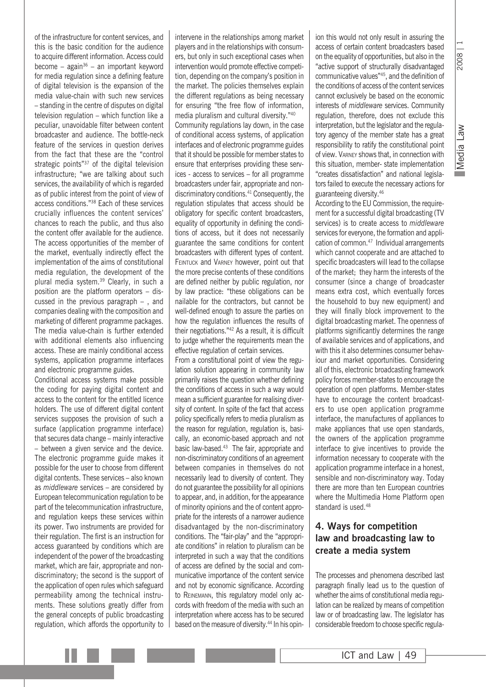Media Law Media Law

2008

of the infrastructure for content services, and this is the basic condition for the audience to acquire different information. Access could become – again<sup>36</sup> – an important keyword for media regulation since a defining feature of digital television is the expansion of the media value-chain with such new services – standing in the centre of disputes on digital television regulation – which function like a peculiar, unavoidable filter between content broadcaster and audience. The bottle-neck feature of the services in question derives from the fact that these are the "control strategic points"37 of the digital television infrastructure; "we are talking about such services, the availability of which is regarded as of public interest from the point of view of access conditions."38 Each of these services crucially influences the content services' chances to reach the public, and thus also the content offer available for the audience. The access opportunities of the member of the market, eventually indirectly effect the implementation of the aims of constitutional media regulation, the development of the plural media system.39 Clearly, in such a position are the platform operators – discussed in the previous paragraph – , and companies dealing with the composition and marketing of different programme packages. The media value-chain is further extended with additional elements also influencing access. These are mainly conditional access systems, application programme interfaces and electronic programme guides.

Conditional access systems make possible the coding for paying digital content and access to the content for the entitled licence holders. The use of different digital content services supposes the provision of such a surface (application programme interface) that secures data change – mainly interactive – between a given service and the device. The electronic programme guide makes it possible for the user to choose from different digital contents. These services – also known as *middleware* services – are considered by European telecommunication regulation to be part of the telecommunication infrastructure, and regulation keeps these services within its power. Two instruments are provided for their regulation. The first is an instruction for access guaranteed by conditions which are independent of the power of the broadcasting market, which are fair, appropriate and nondiscriminatory; the second is the support of the application of open rules which safeguard permeability among the technical instruments. These solutions greatly differ from the general concepts of public broadcasting regulation, which affords the opportunity to intervene in the relationships among market players and in the relationships with consumers, but only in such exceptional cases when intervention would promote effective competition, depending on the company's position in the market. The policies themselves explain the different regulations as being necessary for ensuring "the free flow of information, media pluralism and cultural diversity."40 Community regulations lay down, in the case of conditional access systems, of application interfaces and of electronic programme guides that it should be possible for member states to ensure that enterprises providing these services - access to services – for all programme broadcasters under fair, appropriate and nondiscriminatory conditions.41 Consequently, the regulation stipulates that access should be obligatory for specific content broadcasters, equality of opportunity in defining the conditions of access, but it does not necessarily guarantee the same conditions for content broadcasters with different types of content. FEINTUCK and VARNEY however, point out that the more precise contents of these conditions are defined neither by public regulation, nor by law practice: "these obligations can be nailable for the contractors, but cannot be well-defined enough to assure the parties on how the regulation influences the results of their negotiations."42 As a result, it is difficult to judge whether the requirements mean the effective regulation of certain services. From a constitutional point of view the regulation solution appearing in community law primarily raises the question whether defining the conditions of access in such a way would mean a sufficient guarantee for realising diversity of content. In spite of the fact that access policy specifically refers to media pluralism as the reason for regulation, regulation is, basically, an economic-based approach and not basic law-based.<sup>43</sup> The fair, appropriate and non-discriminatory conditions of an agreement between companies in themselves do not necessarily lead to diversity of content. They do not guarantee the possibility for all opinions to appear, and, in addition, for the appearance of minority opinions and the of content appropriate for the interests of a narrower audience disadvantaged by the non-discriminatory conditions. The "fair-play" and the "appropriate conditions" in relation to pluralism can be interpreted in such a way that the conditions of access are defined by the social and communicative importance of the content service and not by economic significance. According

to Reinemann, this regulatory model only accords with freedom of the media with such an interpretation where access has to be secured based on the measure of diversity.<sup>44</sup> In his opin-

ion this would not only result in assuring the access of certain content broadcasters based on the equality of opportunities, but also in the "active support of structurally disadvantaged communicative values"45, and the definition of the conditions of access of the content services cannot exclusively be based on the economic interests of *middleware* services. Community regulation, therefore, does not exclude this interpretation, but the legislator and the regulatory agency of the member state has a great responsibility to ratify the constitutional point of view. Varney shows that, in connection with this situation, member- state implementation "creates dissatisfaction" and national legislators failed to execute the necessary actions for guaranteeing diversity.46

According to the EU Commission, the requirement for a successful digital broadcasting (TV services) is to create access to *middleware* services for everyone, the formation and application of common.47 Individual arrangements which cannot cooperate and are attached to specific broadcasters will lead to the collapse of the market; they harm the interests of the consumer (since a change of broadcaster means extra cost, which eventually forces the household to buy new equipment) and they will finally block improvement to the digital broadcasting market. The openness of platforms significantly determines the range of available services and of applications, and with this it also determines consumer behaviour and market opportunities. Considering all of this, electronic broadcasting framework policy forces member-states to encourage the operation of open platforms. Member-states have to encourage the content broadcasters to use open application programme interface, the manufactures of appliances to make appliances that use open standards, the owners of the application programme interface to give incentives to provide the information necessary to cooperate with the application programme interface in a honest, sensible and non-discriminatory way. Today there are more than ten European countries where the Multimedia Home Platform open standard is used.48

#### **4. Ways for competition law and broadcasting law to create a media system**

The processes and phenomena described last paragraph finally lead us to the question of whether the aims of constitutional media regulation can be realized by means of competition law or of broadcasting law. The legislator has considerable freedom to choose specific regula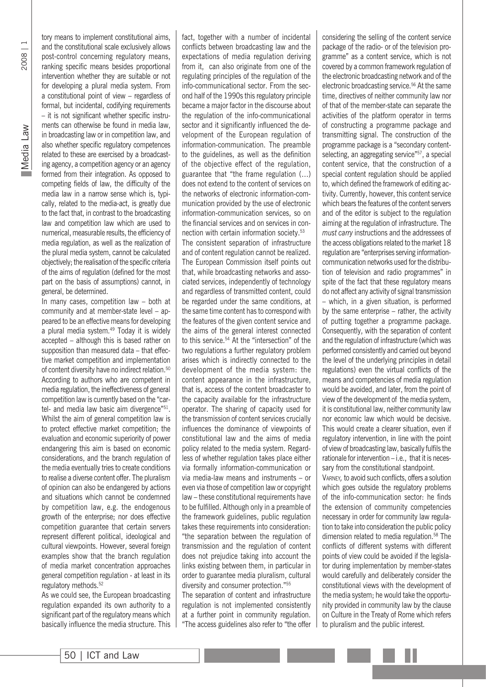2008 | 1

tory means to implement constitutional aims, and the constitutional scale exclusively allows post-control concerning regulatory means, ranking specific means besides proportional intervention whether they are suitable or not for developing a plural media system. From a constitutional point of view – regardless of formal, but incidental, codifying requirements – it is not significant whether specific instruments can otherwise be found in media law, in broadcasting law or in competition law, and also whether specific regulatory competences related to these are exercised by a broadcasting agency, a competition agency or an agency formed from their integration. As opposed to competing fields of law, the difficulty of the media law in a narrow sense which is, typically, related to the media-act, is greatly due to the fact that, in contrast to the broadcasting law and competition law which are used to numerical, measurable results, the efficiency of media regulation, as well as the realization of the plural media system, cannot be calculated objectively; the realisation of the specific criteria of the aims of regulation (defined for the most part on the basis of assumptions) cannot, in general, be determined.

In many cases, competition law – both at community and at member-state level – appeared to be an effective means for developing a plural media system.<sup>49</sup> Today it is widely accepted – although this is based rather on supposition than measured data – that effective market competition and implementation of content diversity have no indirect relation.<sup>50</sup> According to authors who are competent in media regulation, the ineffectiveness of general competition law is currently based on the "cartel- and media law basic aim divergence"<sup>51</sup>. Whilst the aim of general competition law is to protect effective market competition; the evaluation and economic superiority of power endangering this aim is based on economic considerations, and the branch regulation of the media eventually tries to create conditions to realise a diverse content offer. The pluralism of opinion can also be endangered by actions and situations which cannot be condemned by competition law, e.g. the endogenous growth of the enterprise; nor does effective competition guarantee that certain servers represent different political, ideological and cultural viewpoints. However, several foreign examples show that the branch regulation of media market concentration approaches general competition regulation - at least in its regulatory methods.<sup>52</sup>

As we could see, the European broadcasting regulation expanded its own authority to a significant part of the regulatory means which basically influence the media structure. This fact, together with a number of incidental conflicts between broadcasting law and the expectations of media regulation deriving from it, can also originate from one of the regulating principles of the regulation of the info-communicational sector. From the second half of the 1990s this regulatory principle became a major factor in the discourse about the regulation of the info-communicational sector and it significantly influenced the development of the European regulation of information-communication. The preamble to the guidelines, as well as the definition of the objective effect of the regulation, guarantee that "the frame regulation (…) does not extend to the content of services on the networks of electronic information-communication provided by the use of electronic information-communication services, so on the financial services and on services in connection with certain information society.53 The consistent separation of infrastructure and of content regulation cannot be realized. The European Commission itself points out that, while broadcasting networks and associated services, independently of technology and regardless of transmitted content, could be regarded under the same conditions, at the same time content has to correspond with the features of the given content service and the aims of the general interest connected to this service.<sup>54</sup> At the "intersection" of the two regulations a further regulatory problem arises which is indirectly connected to the development of the media system: the content appearance in the infrastructure, that is, access of the content broadcaster to the capacity available for the infrastructure operator. The sharing of capacity used for the transmission of content services crucially influences the dominance of viewpoints of constitutional law and the aims of media policy related to the media system. Regardless of whether regulation takes place either via formally information-communication or via media-law means and instruments – or even via those of competition law or copyright law – these constitutional requirements have to be fulfilled. Although only in a preamble of the framework guidelines, public regulation takes these requirements into consideration: "the separation between the regulation of transmission and the regulation of content does not prejudice taking into account the links existing between them, in particular in order to guarantee media pluralism, cultural diversity and consumer protection."55

The separation of content and infrastructure regulation is not implemented consistently at a further point in community regulation. "The access guidelines also refer to "the offer considering the selling of the content service package of the radio- or of the television programme" as a content service, which is not covered by a common framework regulation of the electronic broadcasting network and of the electronic broadcasting service.56 At the same time, directives of neither community law nor of that of the member-state can separate the activities of the platform operator in terms of constructing a programme package and transmitting signal. The construction of the programme package is a "secondary contentselecting, an aggregating service"<sup>57</sup>, a special content service, that the construction of a special content regulation should be applied to, which defined the framework of editing activity. Currently, however, this content service which bears the features of the content servers and of the editor is subject to the regulation aiming at the regulation of infrastructure. The *must carry* instructions and the addressees of the access obligations related to the market 18 regulation are "enterprises serving informationcommunication networks used for the distribution of television and radio programmes" in spite of the fact that these regulatory means do not affect any activity of signal transmission – which, in a given situation, is performed by the same enterprise – rather, the activity of putting together a programme package. Consequently, with the separation of content and the regulation of infrastructure (which was performed consistently and carried out beyond the level of the underlying principles in detail regulations) even the virtual conflicts of the means and competencies of media regulation would be avoided, and later, from the point of view of the development of the media system, it is constitutional law, neither community law nor economic law which would be decisive. This would create a clearer situation, even if regulatory intervention, in line with the point of view of broadcasting law, basically fulfils the rationale for intervention – i.e., that it is necessary from the constitutional standpoint.

Varney*,* to avoid such conflicts, offers a solution which goes outside the regulatory problems of the info-communication sector: he finds the extension of community competencies necessary in order for community law regulation to take into consideration the public policy dimension related to media regulation.<sup>58</sup> The conflicts of different systems with different points of view could be avoided if the legislator during implementation by member-states would carefully and deliberately consider the constitutional views with the development of the media system; he would take the opportunity provided in community law by the clause on Culture in the Treaty of Rome which refers to pluralism and the public interest.

Ш